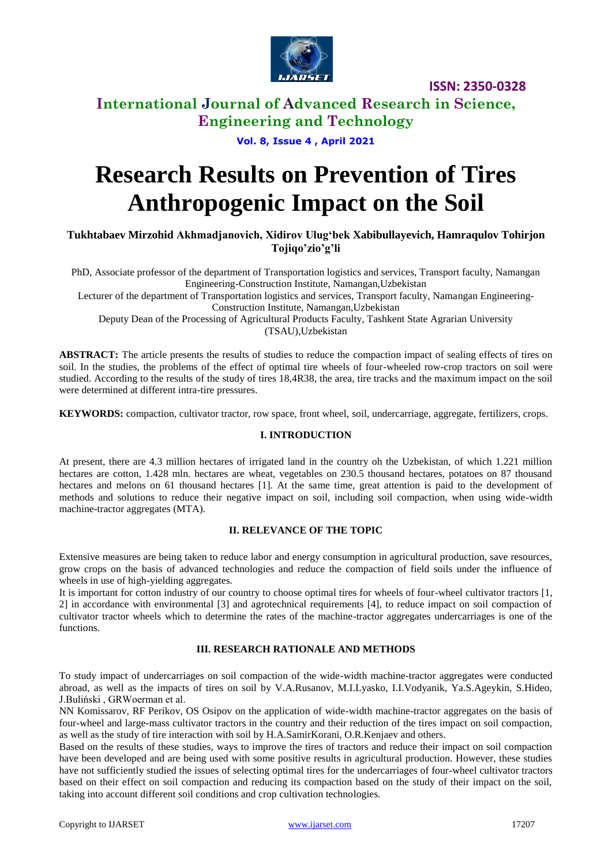

# **International Journal of Advanced Research in Science, Engineering and Technology**

## **Vol. 8, Issue 4 , April 2021**

# **Research Results on Prevention of Tires Anthropogenic Impact on the Soil**

**Tukhtabaev Mirzohid Akhmadjanovich, Xidirov Ulug'bek Xabibullayevich, Hamraqulov Tohirjon Tojiqo'zio'g'li**

PhD, Associate professor of the department of Transportation logistics and services, Transport faculty, Namangan Engineering-Construction Institute, Namangan,Uzbekistan

Lecturer of the department of Transportation logistics and services, Transport faculty, Namangan Engineering-Construction Institute, Namangan,Uzbekistan

Deputy Dean of the Processing of Agricultural Products Faculty, Tashkent State Agrarian University (TSAU),Uzbekistan

**ABSTRACT:** The article presents the results of studies to reduce the compaction impact of sealing effects of tires on soil. In the studies, the problems of the effect of optimal tire wheels of four-wheeled row-crop tractors on soil were studied. According to the results of the study of tires 18,4R38, the area, tire tracks and the maximum impact on the soil were determined at different intra-tire pressures.

**KEYWORDS:** compaction, cultivator tractor, row space, front wheel, soil, undercarriage, aggregate, fertilizers, crops.

### **I. INTRODUCTION**

At present, there are 4.3 million hectares of irrigated land in the country oh the Uzbekistan, of which 1.221 million hectares are cotton, 1.428 mln. hectares are wheat, vegetables on 230.5 thousand hectares, potatoes on 87 thousand hectares and melons on 61 thousand hectares [1]. At the same time, great attention is paid to the development of methods and solutions to reduce their negative impact on soil, including soil compaction, when using wide-width machine-tractor aggregates (MTA).

### **II. RELEVANCE OF THE TOPIC**

Extensive measures are being taken to reduce labor and energy consumption in agricultural production, save resources, grow crops on the basis of advanced technologies and reduce the compaction of field soils under the influence of wheels in use of high-vielding aggregates.

It is important for cotton industry of our country to choose optimal tires for wheels of four-wheel cultivator tractors [1, 2] in accordance with environmental [3] and agrotechnical requirements [4], to reduce impact on soil compaction of cultivator tractor wheels which to determine the rates of the machine-tractor aggregates undercarriages is one of the functions.

## **III. RESEARCH RATIONALE AND METHODS**

To study impact of undercarriages on soil compaction of the wide-width machine-tractor aggregates were conducted abroad, as well as the impacts of tires on soil by V.A.Rusanov, M.I.Lyasko, I.I.Vodyanik, Ya.S.Ageykin, S.Hideo, J.Buliński , GRWoerman et al.

NN Komissarov, RF Perikov, OS Osipov on the application of wide-width machine-tractor aggregates on the basis of four-wheel and large-mass cultivator tractors in the country and their reduction of the tires impact on soil compaction, as well as the study of tire interaction with soil by H.A.SamirKorani, O.R.Kenjaev and others.

Based on the results of these studies, ways to improve the tires of tractors and reduce their impact on soil compaction have been developed and are being used with some positive results in agricultural production. However, these studies have not sufficiently studied the issues of selecting optimal tires for the undercarriages of four-wheel cultivator tractors based on their effect on soil compaction and reducing its compaction based on the study of their impact on the soil, taking into account different soil conditions and crop cultivation technologies.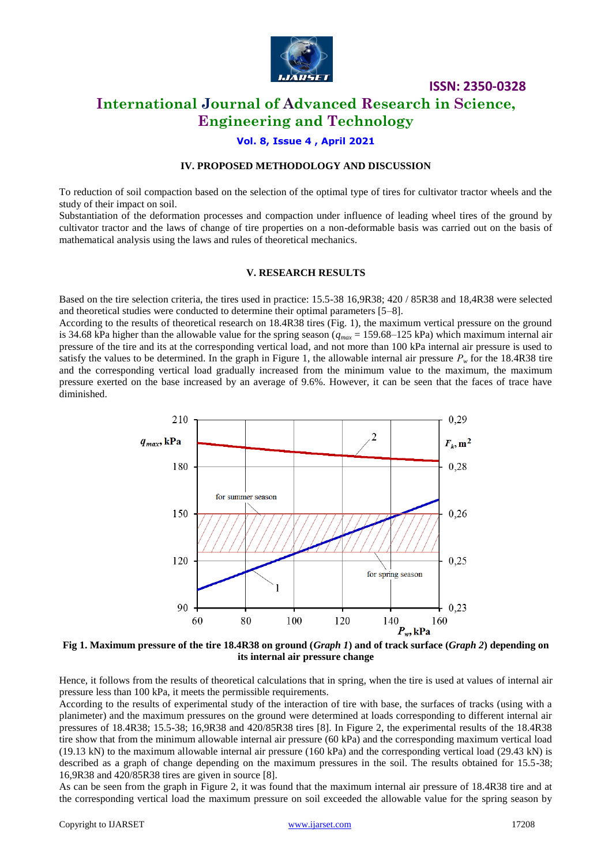

# **International Journal of Advanced Research in Science, Engineering and Technology**

## **Vol. 8, Issue 4 , April 2021**

## **IV. PROPOSED METHODOLOGY AND DISCUSSION**

To reduction of soil compaction based on the selection of the optimal type of tires for cultivator tractor wheels and the study of their impact on soil.

Substantiation of the deformation processes and compaction under influence of leading wheel tires of the ground by cultivator tractor and the laws of change of tire properties on a non-deformable basis was carried out on the basis of mathematical analysis using the laws and rules of theoretical mechanics.

#### **V. RESEARCH RESULTS**

Based on the tire selection criteria, the tires used in practice: 15.5-38 16,9R38; 420 / 85R38 and 18,4R38 were selected and theoretical studies were conducted to determine their optimal parameters [5–8].

According to the results of theoretical research on 18.4R38 tires (Fig. 1), the maximum vertical pressure on the ground is 34.68 kPa higher than the allowable value for the spring season (*qmax* = 159.68–125 kPa) which maximum internal air pressure of the tire and its at the corresponding vertical load, and not more than 100 kPa internal air pressure is used to satisfy the values to be determined. In the graph in Figure 1, the allowable internal air pressure  $P_w$  for the 18.4R38 tire and the corresponding vertical load gradually increased from the minimum value to the maximum, the maximum pressure exerted on the base increased by an average of 9.6%. However, it can be seen that the faces of trace have diminished.



**Fig 1. Maximum pressure of the tire 18.4R38 on ground (***Graph 1***) and of track surface (***Graph 2***) depending on its internal air pressure change**

Hence, it follows from the results of theoretical calculations that in spring, when the tire is used at values of internal air pressure less than 100 kPa, it meets the permissible requirements.

According to the results of experimental study of the interaction of tire with base, the surfaces of tracks (using with a planimeter) and the maximum pressures on the ground were determined at loads corresponding to different internal air pressures of 18.4R38; 15.5-38; 16,9R38 and 420/85R38 tires [8]. In Figure 2, the experimental results of the 18.4R38 tire show that from the minimum allowable internal air pressure (60 kPa) and the corresponding maximum vertical load (19.13 kN) to the maximum allowable internal air pressure (160 kPa) and the corresponding vertical load (29.43 kN) is described as a graph of change depending on the maximum pressures in the soil. The results obtained for 15.5-38; 16,9R38 and 420/85R38 tires are given in source [8].

As can be seen from the graph in Figure 2, it was found that the maximum internal air pressure of 18.4R38 tire and at the corresponding vertical load the maximum pressure on soil exceeded the allowable value for the spring season by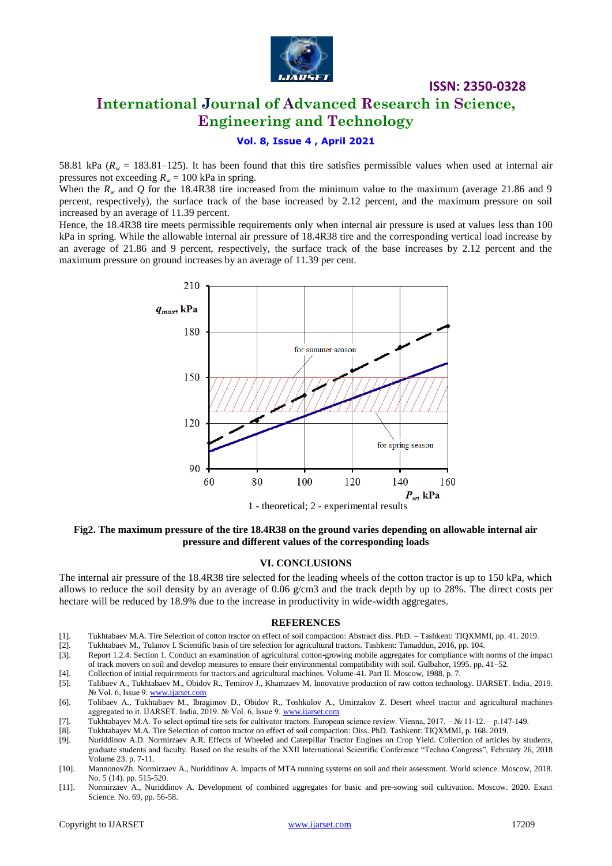

# **International Journal of Advanced Research in Science, Engineering and Technology**

## **Vol. 8, Issue 4 , April 2021**

58.81 kPa ( $R_w$  = 183.81–125). It has been found that this tire satisfies permissible values when used at internal air pressures not exceeding  $R_w = 100$  kPa in spring.

When the  $R_w$  and  $Q$  for the 18.4R38 tire increased from the minimum value to the maximum (average 21.86 and 9 percent, respectively), the surface track of the base increased by 2.12 percent, and the maximum pressure on soil increased by an average of 11.39 percent.

Hence, the 18.4R38 tire meets permissible requirements only when internal air pressure is used at values less than 100 kPa in spring. While the allowable internal air pressure of 18.4R38 tire and the corresponding vertical load increase by an average of 21.86 and 9 percent, respectively, the surface track of the base increases by 2.12 percent and the maximum pressure on ground increases by an average of 11.39 per cent.



**Fig2. The maximum pressure of the tire 18.4R38 on the ground varies depending on allowable internal air pressure and different values of the corresponding loads**

### **VI. CONCLUSIONS**

The internal air pressure of the 18.4R38 tire selected for the leading wheels of the cotton tractor is up to 150 kPa, which allows to reduce the soil density by an average of 0.06  $g/cm3$  and the track depth by up to 28%. The direct costs per hectare will be reduced by 18.9% due to the increase in productivity in wide-width aggregates.

#### **REFERENCES**

- [1]. Tukhtabaev M.A. Tire Selection of cotton tractor on effect of soil compaction: Abstract diss. PhD. Tashkent: TIQXMMI, pp. 41. 2019.
- [2]. Tukhtabaev M., Tulanov I. Scientific basis of tire selection for agricultural tractors. Tashkent: Tamaddun, 2016, pp. 104.
- [3]. Report 1.2.4. Section 1. Conduct an examination of agricultural cotton-growing mobile aggregates for compliance with norms of the impact of track movers on soil and develop measures to ensure their environmental compatibility with soil. Gulbahor, 1995. pp. 41–52.
- [4]. Collection of initial requirements for tractors and agricultural machines. Volume-41. Part II. Moscow, 1988, p. 7.
- [5]. Talibaev A., Tukhtabaev M., Obidov R., Temirov J., Khamzaev M. Innovative production of raw cotton technology. IJARSET. India, 2019. № Vol. 6, Issue 9. [www.ijarset.com](http://www.ijarset.com/)
- [6]. Tolibaev A., Tukhtabaev M., Ibragimov D., Obidov R., Toshkulov A., Umirzakov Z. Desert wheel tractor and agricultural machines aggregated to it. IJARSET. India, 2019. № Vol. 6, Issue 9[. www.ijarset.com](http://www.ijarset.com/)
- [7]. Tukhtabayev M.А. To select optimal tire sets for cultivator tractors. European science review. Vienna, 2017. № 11-12. р.147-149.
- [8]. Tukhtabayev M.A. Tire Selection of cotton tractor on effect of soil compaction: Diss. PhD. Tashkent: TIQXMMI, p. 168. 2019.
- [9]. Nuriddinov A.D. Normirzaev A.R. Effects of Wheeled and Caterpillar Tractor Engines on Crop Yield. Collection of articles by students, graduate students and faculty. Based on the results of the XXII International Scientific Conference "Techno Congress", February 26, 2018 Volume 23. p. 7-11.
- [10]. MannonovZh. Normirzaev A., Nuriddinov A. Impacts of MTA running systems on soil and their assessment. World science. Moscow, 2018. No. 5 (14). pp. 515-520.
- [11]. Normirzaev A., Nuriddinov A. Development of combined aggregates for basic and pre-sowing soil cultivation. Moscow. 2020. Exact Science. No. 69, pp. 56-58.